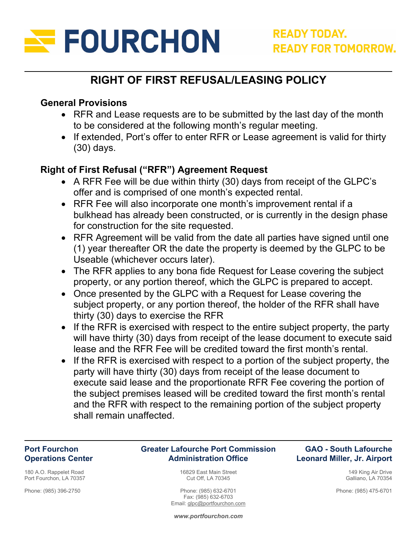

# **RIGHT OF FIRST REFUSAL/LEASING POLICY**

### **General Provisions**

- RFR and Lease requests are to be submitted by the last day of the month to be considered at the following month's regular meeting.
- If extended, Port's offer to enter RFR or Lease agreement is valid for thirty (30) days.

### **Right of First Refusal ("RFR") Agreement Request**

- A RFR Fee will be due within thirty (30) days from receipt of the GLPC's offer and is comprised of one month's expected rental.
- RFR Fee will also incorporate one month's improvement rental if a bulkhead has already been constructed, or is currently in the design phase for construction for the site requested.
- RFR Agreement will be valid from the date all parties have signed until one (1) year thereafter OR the date the property is deemed by the GLPC to be Useable (whichever occurs later).
- The RFR applies to any bona fide Request for Lease covering the subject property, or any portion thereof, which the GLPC is prepared to accept.
- Once presented by the GLPC with a Request for Lease covering the subject property, or any portion thereof, the holder of the RFR shall have thirty (30) days to exercise the RFR
- If the RFR is exercised with respect to the entire subject property, the party will have thirty (30) days from receipt of the lease document to execute said lease and the RFR Fee will be credited toward the first month's rental.
- $\bullet$  If the RFR is exercised with respect to a portion of the subject property, the party will have thirty (30) days from receipt of the lease document to execute said lease and the proportionate RFR Fee covering the portion of the subject premises leased will be credited toward the first month's rental and the RFR with respect to the remaining portion of the subject property shall remain unaffected.

#### **Port Fourchon Operations Center**

180 A.O. Rappelet Road Port Fourchon, LA 70357

Phone: (985) 396-2750

#### **Greater Lafourche Port Commission Administration Office**

16829 East Main Street Cut Off, LA 70345

Phone: (985) 632-6701 Fax: (985) 632-6703 Email: glpc@portfourchon.com

#### **GAO - South Lafourche Leonard Miller, Jr. Airport**

149 King Air Drive Galliano, LA 70354

Phone: (985) 475-6701

*www.portfourchon.com*